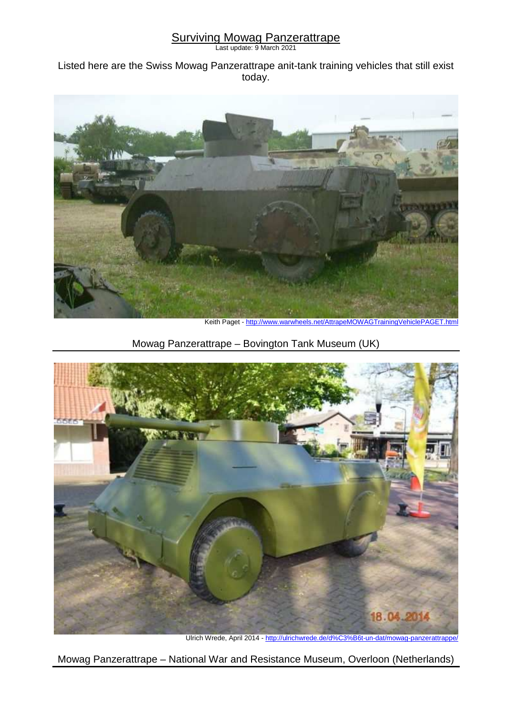## **Surviving Mowag Panzerattrape**

Last update: 9 March 2021

Listed here are the Swiss Mowag Panzerattrape anit-tank training vehicles that still exist today.



Keith Paget - http://www.warwheels.net/AttrapeMOWAGTrainingVehiclePAGET.html

Mowag Panzerattrape – Bovington Tank Museum (UK)



Ulrich Wrede, April 2014 - http://ulrichwrede.de/d%C3%B6t-un-dat/mowag-panzerattrappe/

Mowag Panzerattrape – National War and Resistance Museum, Overloon (Netherlands)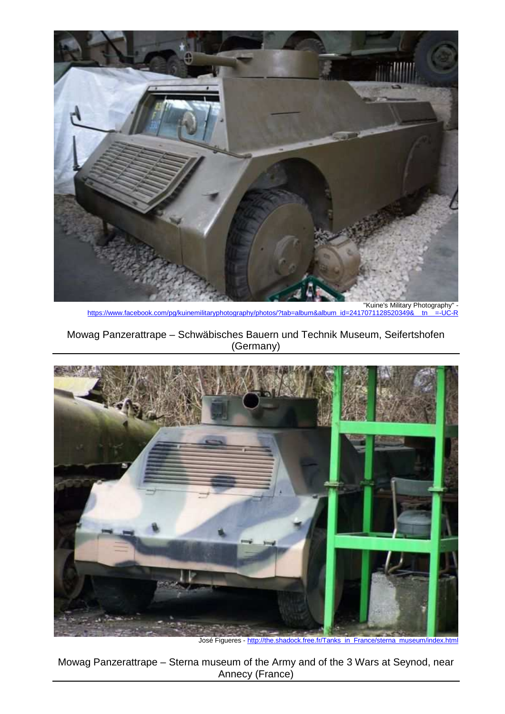

https://www.facebook.com/pg/kuinemilitaryphotography/photos/?tab=album&album\_id=2417071128520349&\_tn\_\_=-UC-R

## Mowag Panzerattrape – Schwäbisches Bauern und Technik Museum, Seifertshofen (Germany)



José Figueres - http://the.shadock.free.fr/Tanks\_in\_France/sterna\_museum/index.html

Mowag Panzerattrape – Sterna museum of the Army and of the 3 Wars at Seynod, near Annecy (France)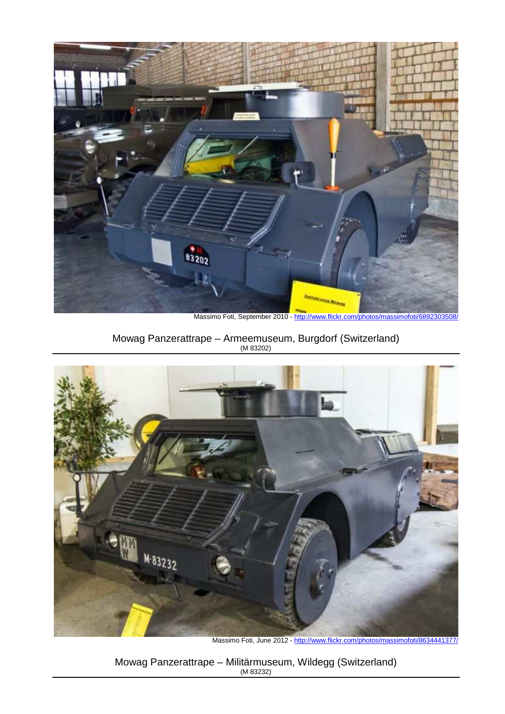

Massimo Foti, September 2010 - http://www.flickr.com/photos/massimofoti/6892303

Mowag Panzerattrape – Armeemuseum, Burgdorf (Switzerland) (M 83202)



Massimo Foti, June 2012 - http://www.flickr.com/photos/massimofoti/8634441377/

Mowag Panzerattrape – Militärmuseum, Wildegg (Switzerland) (M 83232)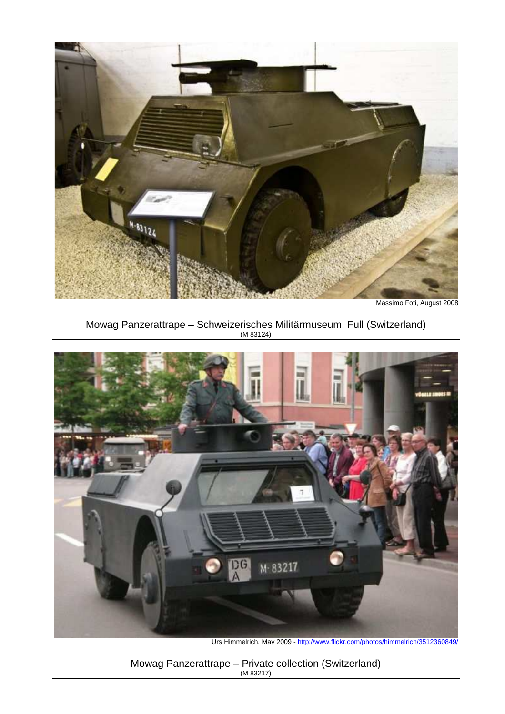

Massimo Foti, August 2008

Mowag Panzerattrape – Schweizerisches Militärmuseum, Full (Switzerland) (M 83124)



Urs Himmelrich, May 2009 - http://www.flickr.com/photos/himmelrich/3512360849/

Mowag Panzerattrape – Private collection (Switzerland) (M 83217)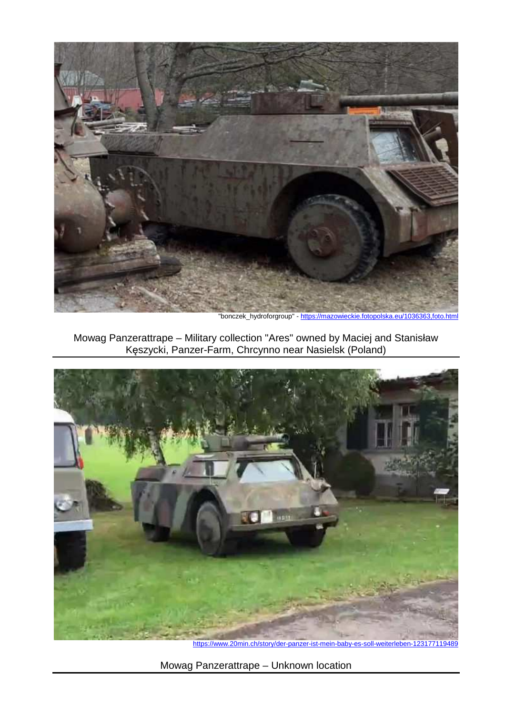

"bonczek\_hydroforgroup" - https://mazowieckie.fotopolska.eu/1036363,foto.html

Mowag Panzerattrape – Military collection "Ares" owned by Maciej and Stanisław Kęszycki, Panzer-Farm, Chrcynno near Nasielsk (Poland)



https://www.20min.ch/story/der-panzer-ist-mein-baby-es-soll-weiterleben-123177119489

Mowag Panzerattrape – Unknown location